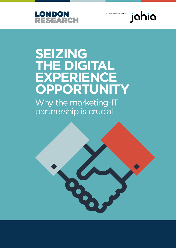

IN PARTNERSHIP WITH



# **SEIZING THE DIGITAL EXPERIENCE OPPORTUNITY**

Why the marketing-IT partnership is crucial

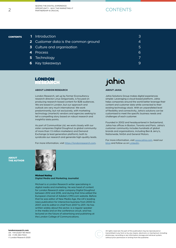### SEIZING THE DIGITAL EXPERIENCE OPPORTUNITY - WHY THE MARKETING-IT

### **CONTENTS**

- **CONTENTS 1** Introduction **3 1 1 1 1 1 1 1 1** 
	- Customer data is the common ground 4 **2**
	- Culture and organisation 5 **3**
	- **4** Process 6
	- Technology 7 **5**
	- Key takeaways 9 **6**



#### ABOUT LONDON RESEARCH

London Research, set up by former Econsultancy research director Linus Gregoriadis, is focused on producing research-based content for B2B audiences. We are based in London, but our approach and outlook are very much international. We work predominantly, but not exclusively, with marketing technology (martech) vendors and agencies seeking to tell a compelling story based on robust research and insightful data points.

As part of Communitize Ltd, we work closely with our sister companies Digital Doughnut (a global community of more than 1.5 million marketers) and Demand Exchange (a lead generation platform), both to syndicate our research and generate high-quality leads.

For more information, visit https://londonresearch.com.

### jahia

### ABOUT JAHIA

Jahia Solutions Group makes digital experiences simpler. Leveraging a cloud-based platform, Jahia helps companies around the world better leverage their content and customer data while connected to their existing technology stack. With an unparalleled level of flexibility and connectivity, Jahia's solutions can be customised to meet the specific business needs and challenges of each customer.

Founded in 2002 and headquartered in Switzerland, Jahia has offices in Boston, Toronto and Paris. Jahia's customer community includes hundreds of global brands and organisations, including Ben & Jerry's, Nationwide, NASA and General Motors.

For more information, visit [www.jahia.com](https://www.jahia.com/home/en), read our [blog](https://www.jahia.com/blog) and follow us on [LinkedIn](https://www.linkedin.com/company/jahia-solutions/).





#### Michael Nutley Digital Media and Marketing Journalist

Michael is a London Research writer specialising in digital media and marketing. He was head of content for London Research sister company Digital Doughnut between 2012 and 2016, and during that time edited the European channel of Adobe's CMO.com website. Before that he was editor of New Media Age, the UK's leading news publication for interactive business from 2000 to 2007, and its editor-in-chief from 2007 to 2011. He has written widely about the sector, is a regular speaker in the media and on the conference circuit, and has lectured on the future of advertising and publishing at the London College of Communications.

**londonresearch.com** UK: +44 (0)207 193 4600 US: +1 415-463-7044 © London Research 2020



All rights reserved. No part of this publication may be reproduced or transmitted in any form or by any means, electronic or mechanical, including photocopy, recording or any information storage and retrieval system, without prior permission in writing from the publisher.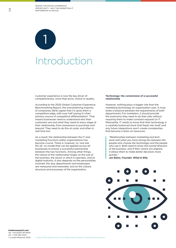1 Introduction

Customer experience is now the key driver of competitiveness, more than price, choice or quality.

According to the 2020 Global Customer Experience Benchmarking Report, the overwhelming majority of companies (82%) agree that CX gives them a competitive edge, with over half saying it's their primary source of competitive differentiation<sup>1</sup>. That means businesses need to understand who their customers are and what they need at every stage of their relationship, from awareness to purchase and beyond. They need to do this at scale, and often in real time too.

As a result, the relationship between the IT and marketing functions within organisations has become crucial. There is, however, no 'one size fits all', no model that can be applied across all businesses to ensure a successful partnership between the two functions. Among other things, the nature of the relationship hinges on the size of the business, the sector in which it operates, and its digital maturity. It also depends on the personalities involved, the way departments and employees are measured and rewarded, and on the culture, structure and processes of the organisation.

#### **Technology: the cornerstone of a successful relationship**

However, nothing plays a bigger role than the marketing technology an organisation uses. It must strike a balance between the requirements of both departments. For marketers, it should provide the autonomy they need to do their jobs without requiring them to make constant requests to IT. Meanwhile, IT needs to know that their technology is a carefully balanced stack that feeds into itself, and any future integrations won't create complexities that become a drain on resources.

*"Relationships between marketing and tech work well when you have strong ties between the people who choose the technology and the people who use it. Both need to know the overall direction of the business, and if their visions are aligned, it allows them to make better decisions more quickly."* 

*Jon Bains, Founder, What & Why*



**londonresearch.com** UK: +44 (0)207 193 4600 US: +1 415-463-7044 © London Research 2020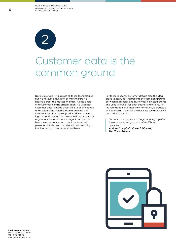

## Customer data is the common ground

Data is a crucial link across all these technologies, but it's not just a question of making sure it's shared across the marketing stack. As the basis of a customer-centric organisation, it's vital that customer data is made accessible to all the people and systems that need it, from marketing and customer services to new product development, logistics and beyond. At the same time, as privacy regulations become more stringent and people become more concerned about the way their personal data is used and stored, data security is fast becoming a business-critical issue.

For these reasons, customer data is also the ideal place to start, as it represents the common ground between marketing and IT. How it's collected, stored and used is crucial for both business functions. As the foundation of digital transformation, it creates a unified overall vision for the business towards which both sides can work.

*"Data is an easy place to begin working together towards a shared goal, but with different agendas."* 

*Andrew Campbell, Martech Director, The Home Agency*

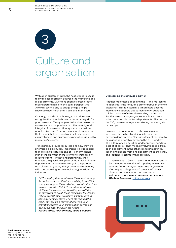

## Culture and organisation

With open customer data, the next step is to use it to bridge collaboration between the marketing and IT departments. Divergent priorities often create misunderstandings or conflicting perspectives. Allowing technology to bridge the gap helps showcase how much their goals are interlinked.

Crucially, outside of technology, both sides need to recognise the other behaves in the way they do for good reasons. IT may appear to be risk-averse, but marketers must appreciate that the security and integrity of business-critical systems are their top priority. Likewise, IT departments must understand that the ability to respond rapidly to changing circumstances and customer expectations is vital to marketing's success.

Transparency around resources and how they are prioritised is also hugely important. This goes back to marketing's status as one of IT's many clients. Marketers are much more likely to tolerate a slow response from IT if they understand why their requests are given lower priority than those of other departments. Otherwise IT can gain a reputation as a blocker to getting things done, and marketing will start acquiring its own technology outside IT's influence.

*"If IT is saying they want to be the one-stop shop for technology, but they're not willing to staff it in a way to support the marketing organisation, then there's a conflict. But if IT says they want to do all these things and they're willing to staff them, or they want to do all these things but they're not willing to staff them so they're going to give up some ownership, that's where the relationship really thrives. It's a matter of knowing your limitations within your organisation so you can deliver on what the business needs." Justin Sharaf, VP Marketing, Jahia Solutions*

#### **Overcoming the language barrier**

Another major issue impeding the IT and marketing relationship is the language barrier between the two disciplines. This is lessening as marketers become more knowledgeable about technology, but it can still be a source of misunderstanding and friction. For this reason, many organisations have created roles that straddle the two departments. This can be the CIO, business analysts, marketing technologists or dev ops.

However, it's not enough to rely on one person to resolve the cultural and linguistic differences between departments. Nor is it sufficient for there to be a good relationship between the CMO and CTO. The culture of co-operation and teamwork needs to exist at all levels. That means involving people from each department in the other's regular meetings, seconding people from one department to the other, and locating IT teams with marketing.

*"There needs to be a structure, and there needs to be someone who pulls it all together, who makes sure the heads of departments are in sync and that they're talking to each other. It all comes down to communication and teamwork." Zoltan Vass, Business Consultant and Remote Working Specialist, [zoltanvass.com](http://zoltanvass.com)*



**londonresearch.com** UK: +44 (0)207 193 4600 US: +1 415-463-7044 © London Research 2020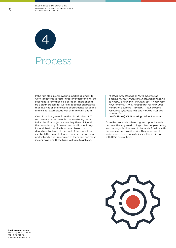

If the first step in empowering marketing and IT to work together is to foster greater understanding, the second is to formalise co-operation. There should be a clear process for working together on projects that involves all the relevant departments; legal and finance, for example, as well as marketing and IT.

One of the hangovers from the historic view of IT as a service department is that marketing tends to involve IT in projects when they think of it, and then wonder why IT doesn't respond immediately. Instead, best practice is to assemble a crossdepartmental team at the start of the project and establish the project plan so that each department understands what is required of them and can make it clear how long those tasks will take to achieve.

*"Setting expectations as far in advance as possible is really important. If marketing is going to need IT's help, they shouldn't say, 'I need your help tomorrow.' They need to ask for help three months in advance. That way IT can allocate resources appropriately, and it builds trust and partnership."*

*Justin Sharaf, VP Marketing, Jahia Solutions*

Once the process has been agreed upon, it needs to become 'the way we do things.' New people coming into the organisation need to be made familiar with the process and how it works. They also need to understand their responsibilities within it. Liaison with HR is crucial here.

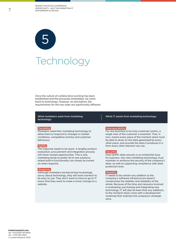Technology 5

Once the culture of collaborative working has been established and the processes embedded, we come back to technology. However, as said before, the requirements for the two sides are significantly different.

#### What marketers want from marketing technology:

#### **Flexibility**

Marketers need their marketing technology to allow them to respond to changes in market conditions, competitive activity and customer behaviour.

#### **Agility**

The response needs to be quick. A lengthy product evaluation, procurement and integration process will mean missed opportunities. This is why marketing tends to prefer all-in-one solutions, where built-in functionality can simply be turned on when required.

#### **Simplicity**

Although marketers are becoming increasingly savvy about technology, they still want martech to be easy to use. They don't want to have to go to IT every time they want to make a minor change to a website.

#### What IT wants from marketing technology:

#### **Interoperability**

For any business to be truly customer-centric, a single view of the customer is essential. That, in turn, means every piece of the martech stack must be able to draw on the data generated by every other piece, and provide the data it produces in a form every other element can use.

#### **Security**

Post-GDPR, data security is an existential issue for business. Any new marketing technology must maintain or enhance the security of the company's data, as well as supporting compliance with data protection laws.

#### **Stability**

IT needs to be certain any addition to the company's software infrastructure doesn't compromise the stability and reliability of the whole. Because of the time and resource involved in evaluating, purchasing and integrating new technology, IT will also be keen that any additions to the martech stack come with a development roadmap that matches the company's strategic aims.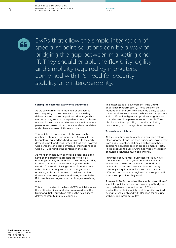66

DXPs that allow the simple integration of specialist point solutions can be a way of bridging the gap between marketing and IT. They should enable the flexibility, agility and simplicity required by marketers, combined with IT's need for security, stability and interoperability.

#### **Seizing the customer experience advantage**

As we saw earlier, more than half of businesses see the quality of the customer experience they deliver as their prime competitive advantage. That means making sure those experiences are available across all the channels customers choose to use; are personalised, relevant and timely; and are consistent and coherent across all those channels.

This task has become more challenging as the number of channels has increased. As a result, the technology required has had to evolve. In the early days of digital marketing, when all that was involved was a website and some emails, all that was needed was a CMS to handle the content on the site.

As more channels such as mobile, social and apps have been added to marketers' portfolios, all requiring content, the 'headless' CMS emerged. This, in effect, detached the content engine from the website front-end, allowing content from the CMS to be directed to any owned marketing channel. However, it also took control of the look and feel of these channels away from marketers, who relied on IT to create new pages or make changes to existing ones.

This led to the rise of the hybrid CMS, which includes the editing facilities marketers were used to in their traditional CMS, but which retains the flexibility to deliver content to multiple channels.

The latest stage of development is the Digital Experience Platform (DXP). These build on the foundation of the CMS to include the ability to take customer data from across the business and process it via artificial intelligence to produce insights that can drive real-time personalisation at scale. They also include the capability to handle marketing automation, and to integrate ecommerce.

#### **Towards best-of-breed**

At the same time as this evolution has been taking place, another trend has seen businesses move away from single-supplier solutions, and towards those built from individual best-of-breed elements. Partly this is because the use of APIs has made integration of multiple solutions much easier for IT.

Partly it's because most businesses already have some martech in place, and are unlikely to want to – or have the resources to – rip out and replace their entire stack. And partly it's because every company's requirements for their tech stack are different, and not every single-solution supplier will have the capabilities they need.

As a result, DXPs that allow the simple integration of specialist point solutions can be a way of bridging the gap between marketing and IT. They should enable the flexibility, agility and simplicity required by marketers, combined with IT's need for security, stability and interoperability.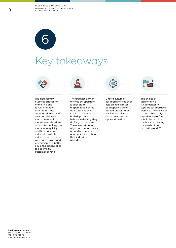

### Key takeaways



It is increasingly business-critical for marketing and IT to work together as a team. Close collaboration around a shared vision for the business will mean better decisions around technology are made more quickly, and time-to-value is reduced. It will also reduce risks associated with data privacy and permission, and better equip the organisation to become truly customer-centric.



The greatest barrier to close co-operation is each side's misperception of the other. Education is crucial to show that both departments behave in the way they do for good reasons. The aim must be to align both departments around a common goal, while respecting their individual agendas.



Once a culture of collaboration has been established, it must be supported by an agreed process that involves all relevant departments at the appropriate time.



The choice of technology is fundamental to support collaborative working. The choice of a martech and digital experience platform should be made on the basis of meeting the needs of both marketing and IT.